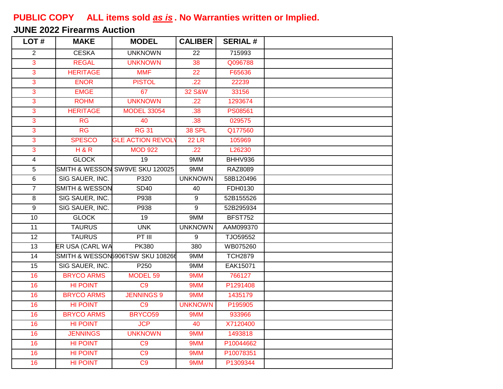## **PUBLIC COPY ALL items sold** *as is* **. No Warranties written or Implied.**

## **JUNE 2022 Firearms Auction**

| LOT#                | <b>MAKE</b>               | <b>MODEL</b>                     | <b>CALIBER</b>    | <b>SERIAL#</b>  |  |
|---------------------|---------------------------|----------------------------------|-------------------|-----------------|--|
| 2                   | <b>CESKA</b>              | <b>UNKNOWN</b>                   | 22                | 715993          |  |
| 3                   | <b>REGAL</b>              | <b>UNKNOWN</b>                   | 38                | Q096788         |  |
| $\mathbf{3}$        | <b>HERITAGE</b>           | <b>MMF</b>                       | 22                | F65636          |  |
| $\overline{3}$      | <b>ENOR</b>               | <b>PISTOL</b>                    | .22               | 22239           |  |
| $\mathbf{3}$        | <b>EMGE</b>               | 67                               | <b>32 S&amp;W</b> | 33156           |  |
| $\overline{3}$      | <b>ROHM</b>               | <b>UNKNOWN</b>                   | .22               | 1293674         |  |
| $\overline{3}$      | <b>HERITAGE</b>           | <b>MODEL 33054</b>               | .38               | <b>PS08561</b>  |  |
| $\overline{3}$      | RG                        | 40                               | .38               | 029575          |  |
| $\overline{3}$      | $\overline{\text{RG}}$    | <b>RG 31</b>                     | 38 SPL            | Q177560         |  |
| $\overline{3}$      | <b>SPESCO</b>             | <b>GLE ACTION REVOL</b>          | <b>22 LR</b>      | 105969          |  |
| $\mathbf{3}$        | H & R                     | <b>MOD 922</b>                   | .22               | L26230          |  |
| 4                   | <b>GLOCK</b>              | $\overline{19}$                  | 9MM               | BHHV936         |  |
| 5                   |                           | SMITH & WESSON SW9VE SKU 120025  | 9MM               | <b>RAZ8089</b>  |  |
| 6                   | SIG SAUER, INC.           | P320                             | <b>UNKNOWN</b>    | 58B120496       |  |
| $\overline{7}$      | <b>SMITH &amp; WESSON</b> | <b>SD40</b>                      | 40                | FDH0130         |  |
| $\overline{\infty}$ | SIG SAUER, INC.           | P938                             | 9                 | 52B155526       |  |
| $\overline{9}$      | SIG SAUER, INC.           | P938                             | $\overline{9}$    | 52B295934       |  |
| 10                  | <b>GLOCK</b>              | $\overline{19}$                  | 9MM               | <b>BFST752</b>  |  |
| $\overline{11}$     | <b>TAURUS</b>             | <b>UNK</b>                       | <b>UNKNOWN</b>    | AAM099370       |  |
| 12                  | <b>TAURUS</b>             | $PT$ $III$                       | $\overline{9}$    | TJO59552        |  |
| 13                  | ER USA (CARL WA           | <b>PK380</b>                     | 380               | WB075260        |  |
| $\overline{14}$     |                           | SMITH & WESSON5906TSW SKU 108266 | 9MM               | <b>TCH2879</b>  |  |
| $\overline{15}$     | SIG SAUER, INC.           | P <sub>250</sub>                 | 9MM               | <b>EAK15071</b> |  |
| 16                  | <b>BRYCO ARMS</b>         | MODEL 59                         | 9MM               | 766127          |  |
| 16                  | <b>HI POINT</b>           | C9                               | 9MM               | P1291408        |  |
| 16                  | <b>BRYCO ARMS</b>         | <b>JENNINGS 9</b>                | 9MM               | 1435179         |  |
| 16                  | <b>HI POINT</b>           | C <sub>9</sub>                   | <b>UNKNOWN</b>    | P195905         |  |
| 16                  | <b>BRYCO ARMS</b>         | BRYCO59                          | 9MM               | 933966          |  |
| 16                  | <b>HI POINT</b>           | <b>JCP</b>                       | 40                | X7120400        |  |
| 16                  | <b>JENNINGS</b>           | <b>UNKNOWN</b>                   | 9MM               | 1493818         |  |
| 16                  | <b>HI POINT</b>           | C <sub>9</sub>                   | 9MM               | P10044662       |  |
| 16                  | <b>HI POINT</b>           | C <sub>9</sub>                   | 9MM               | P10078351       |  |
| 16                  | <b>HI POINT</b>           | $\overline{C9}$                  | 9MM               | P1309344        |  |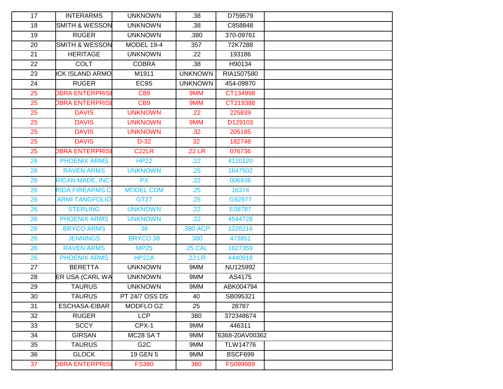| 17 | <b>INTERARMS</b>          | <b>UNKNOWN</b>        | .38            | D759579         |  |
|----|---------------------------|-----------------------|----------------|-----------------|--|
| 18 | <b>SMITH &amp; WESSON</b> | <b>UNKNOWN</b>        | .38            | C858848         |  |
| 19 | <b>RUGER</b>              | <b>UNKNOWN</b>        | .380           | 370-09761       |  |
| 20 | <b>SMITH &amp; WESSON</b> | <b>MODEL 19-4</b>     | 357            | 72K7288         |  |
| 21 | <b>HERITAGE</b>           | <b>UNKNOWN</b>        | .22            | 193186          |  |
| 22 | <b>COLT</b>               | <b>COBRA</b>          | .38            | H90134          |  |
| 23 | <b>CK ISLAND ARMO</b>     | M1911                 | <b>UNKNOWN</b> | RIA1507580      |  |
| 24 | <b>RUGER</b>              | EC9S                  | <b>UNKNOWN</b> | 454-09870       |  |
| 25 | <b>DBRA ENTERPRISI</b>    | C89                   | 9MM            | CT134998        |  |
| 25 | <b>DBRA ENTERPRISE</b>    | CB <sub>9</sub>       | 9MM            | CT219388        |  |
| 25 | <b>DAVIS</b>              | <b>UNKNOWN</b>        | .22            | 225839          |  |
| 25 | <b>DAVIS</b>              | <b>UNKNOWN</b>        | 9MM            | D129103         |  |
| 25 | <b>DAVIS</b>              | <b>UNKNOWN</b>        | .32            | 205185          |  |
| 25 | <b>DAVIS</b>              | $D-32$                | 32             | 182746          |  |
| 25 | <b>DBRA ENTERPRISI</b>    | C <sub>22</sub> LR    | $.22$ LR       | 076736          |  |
| 26 | <b>PHOENIX ARMS</b>       | <b>HP22</b>           | .22            | 4110120         |  |
| 26 | <b>RAVEN ARMS</b>         | <b>UNKNOWN</b>        | .25            | 1647502         |  |
| 26 | <b>RICAN MADE, INC-</b>   | <b>PX</b>             | .22            | 006936          |  |
| 26 | <b>RIDA FIREARMS C</b>    | <b>MODEL CDM</b>      | .25            | 16374           |  |
| 26 | <b>ARMI TANGFOLIO</b>     | <b>GT27</b>           | .25            | G92977          |  |
| 26 | <b>STERLING</b>           | <b>UNKNOWN</b>        | .22            | E08787          |  |
| 26 | <b>PHOENIX ARMS</b>       | <b>UNKNOWN</b>        | .22            | 4544728         |  |
| 26 | <b>BRYCO ARMS</b>         | 38                    | .380 ACP       | 1228216         |  |
| 26 | <b>JENNINGS</b>           | <b>BRYCO 38</b>       | .380           | 473851          |  |
| 26 | <b>RAVEN ARMS</b>         | <b>MP25</b>           | <b>.25 CAL</b> | 1627359         |  |
| 26 | <b>PHOENIX ARMS</b>       | <b>HP22A</b>          | .22 LR         | 4440918         |  |
| 27 | <b>BERETTA</b>            | <b>UNKNOWN</b>        | 9MM            | NU125992        |  |
| 28 | ER USA (CARL WA           | <b>UNKNOWN</b>        | 9MM            | AS4175          |  |
| 29 | <b>TAURUS</b>             | <b>UNKNOWN</b>        | 9MM            | ABK004794       |  |
| 30 | <b>TAURUS</b>             | PT 24/7 OSS DS        | 40             | SB095321        |  |
| 31 | <b>ESCHASA-EIBAR</b>      | MODFLO GZ             | 25             | 28787           |  |
| 32 | <b>RUGER</b>              | <b>LCP</b>            | 380            | 372348674       |  |
| 33 | <b>SCCY</b>               | CPX-1                 | 9MM            | 446311          |  |
| 34 | <b>GIRSAN</b>             | MC <sub>28</sub> SA T | 9MM            | 6368-20AV00362  |  |
| 35 | <b>TAURUS</b>             | G <sub>2</sub> C      | 9MM            | <b>TLW14776</b> |  |
| 36 | <b>GLOCK</b>              | 19 GEN 5              | 9MM            | BSCF699         |  |
| 37 | <b>DBRA ENTERPRISI</b>    | <b>FS380</b>          | 380            | FS099989        |  |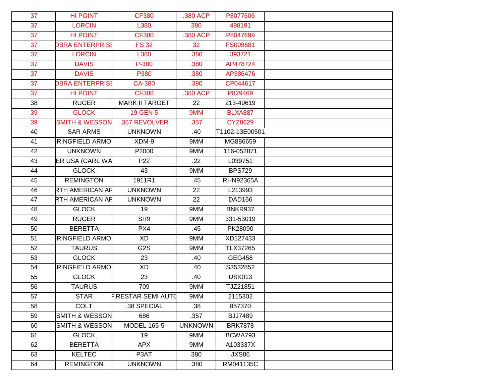| 37 | <b>HI POINT</b>           | <b>CF380</b>              | .380 ACP       | P8077606         |  |
|----|---------------------------|---------------------------|----------------|------------------|--|
| 37 | <b>LORCIN</b>             | L380                      | 380            | 498191           |  |
| 37 | <b>HI POINT</b>           | <b>CF380</b>              | 380 ACP        | P8047699         |  |
| 37 | <b>DBRA ENTERPRISI</b>    | <b>FS32</b>               | 32             | FS009681         |  |
| 37 | <b>LORCIN</b>             | L360                      | .380           | 393721           |  |
| 37 | <b>DAVIS</b>              | P-380                     | .380           | AP478724         |  |
| 37 | <b>DAVIS</b>              | P380                      | .380           | AP386476         |  |
| 37 | <b>DBRA ENTERPRISE</b>    | <b>CA-380</b>             | .380           | CP044617         |  |
| 37 | <b>HI POINT</b>           | <b>CF380</b>              | .380 ACP       | P829469          |  |
| 38 | <b>RUGER</b>              | <b>MARK II TARGET</b>     | 22             | 213-49619        |  |
| 39 | <b>GLOCK</b>              | 19 GEN 5                  | 9MM            | <b>BLXA887</b>   |  |
| 39 | <b>SMITH &amp; WESSON</b> | .357 REVOLVER             | .357           | <b>CYZ8629</b>   |  |
| 40 | <b>SAR ARMS</b>           | <b>UNKNOWN</b>            | .40            | T1102-13E00501   |  |
| 41 | <b>RINGFIELD ARMO</b>     | XDM-9                     | 9MM            | MG886659         |  |
| 42 | <b>UNKNOWN</b>            | P2000                     | 9MM            | 116-052871       |  |
| 43 | ER USA (CARL WA           | P22                       | .22            | L039751          |  |
| 44 | <b>GLOCK</b>              | 43                        | 9MM            | <b>BPS729</b>    |  |
| 45 | <b>REMINGTON</b>          | 1911R1                    | .45            | <b>RHN92365A</b> |  |
| 46 | RTH AMERICAN AR           | <b>UNKNOWN</b>            | 22             | L213993          |  |
| 47 | RTH AMERICAN AR           | <b>UNKNOWN</b>            | 22             | <b>DAD166</b>    |  |
| 48 | <b>GLOCK</b>              | 19                        | 9MM            | <b>BNKR937</b>   |  |
| 49 | <b>RUGER</b>              | SR9                       | 9MM            | 331-53019        |  |
| 50 | <b>BERETTA</b>            | PX4                       | .45            | PK28090          |  |
| 51 | <b>RINGFIELD ARMO</b>     | <b>XD</b>                 | 9MM            | XD127433         |  |
| 52 | <b>TAURUS</b>             | G <sub>2</sub> S          | 9MM            | <b>TLX37265</b>  |  |
| 53 | <b>GLOCK</b>              | 23                        | .40            | <b>GEG458</b>    |  |
| 54 | <b>RINGFIELD ARMO</b>     | XD                        | .40            | S3532852         |  |
| 55 | <b>GLOCK</b>              | 23                        | .40            | <b>USK013</b>    |  |
| 56 | <b>TAURUS</b>             | 709                       | 9MM            | TJZ21851         |  |
| 57 | <b>STAR</b>               | <b>FIRESTAR SEMI AUTO</b> | 9MM            | 2115302          |  |
| 58 | <b>COLT</b>               | .38 SPECIAL               | .38            | 857370           |  |
| 59 | <b>SMITH &amp; WESSON</b> | 686                       | .357           | <b>BJJ7489</b>   |  |
| 60 | <b>SMITH &amp; WESSON</b> | <b>MODEL 165-5</b>        | <b>UNKNOWN</b> | <b>BRK7878</b>   |  |
| 61 | <b>GLOCK</b>              | 19                        | 9MM            | BCWA793          |  |
| 62 | <b>BERETTA</b>            | <b>APX</b>                | 9MM            | A103337X         |  |
| 63 | <b>KELTEC</b>             | P3AT                      | 380            | <b>JXS86</b>     |  |
| 64 | <b>REMINGTON</b>          | <b>UNKNOWN</b>            | .380           | RM041135C        |  |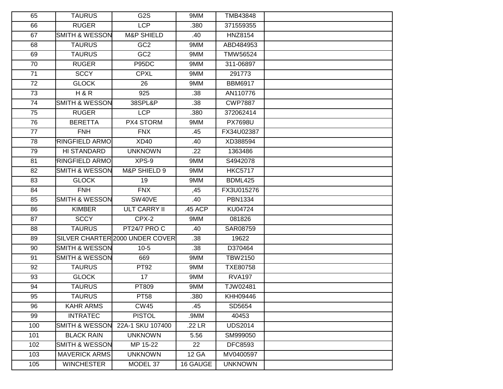| 65  | <b>TAURUS</b>             | G <sub>2</sub> S                | 9MM          | TMB43848        |  |
|-----|---------------------------|---------------------------------|--------------|-----------------|--|
| 66  | <b>RUGER</b>              | <b>LCP</b>                      | .380         | 371559355       |  |
| 67  | SMITH & WESSON            | <b>M&amp;P SHIELD</b>           | .40          | <b>HNZ8154</b>  |  |
| 68  | <b>TAURUS</b>             | GC <sub>2</sub>                 | 9MM          | ABD484953       |  |
| 69  | <b>TAURUS</b>             | GC <sub>2</sub>                 | 9MM          | TMW56524        |  |
| 70  | <b>RUGER</b>              | P95DC                           | 9MM          | 311-06897       |  |
| 71  | <b>SCCY</b>               | <b>CPXL</b>                     | 9MM          | 291773          |  |
| 72  | <b>GLOCK</b>              | 26                              | 9MM          | <b>BBM6917</b>  |  |
| 73  | H & R                     | 925                             | .38          | AN110776        |  |
| 74  | <b>SMITH &amp; WESSON</b> | 38SPL&P                         | .38          | <b>CWP7887</b>  |  |
| 75  | <b>RUGER</b>              | <b>LCP</b>                      | .380         | 372062414       |  |
| 76  | <b>BERETTA</b>            | PX4 STORM                       | 9MM          | <b>PX7698U</b>  |  |
| 77  | <b>FNH</b>                | <b>FNX</b>                      | .45          | FX34U02387      |  |
| 78  | <b>RINGFIELD ARMO</b>     | XD40                            | .40          | XD388594        |  |
| 79  | HI STANDARD               | <b>UNKNOWN</b>                  | .22          | 1363486         |  |
| 81  | <b>RINGFIELD ARMO</b>     | $XPS-9$                         | 9MM          | S4942078        |  |
| 82  | <b>SMITH &amp; WESSON</b> | M&P SHIELD 9                    | 9MM          | <b>HKC5717</b>  |  |
| 83  | <b>GLOCK</b>              | 19                              | 9MM          | <b>BDML425</b>  |  |
| 84  | <b>FNH</b>                | <b>FNX</b>                      | ,45          | FX3U015276      |  |
| 85  | <b>SMITH &amp; WESSON</b> | SW40VE                          | .40          | PBN1334         |  |
| 86  | <b>KIMBER</b>             | <b>ULT CARRY II</b>             | .45 ACP      | KU04724         |  |
| 87  | <b>SCCY</b>               | CPX-2                           | 9MM          | 081826          |  |
| 88  | <b>TAURUS</b>             | PT24/7 PROC                     | .40          | SAR08759        |  |
| 89  |                           | SILVER CHARTER 2000 UNDER COVER | .38          | 19622           |  |
| 90  | <b>SMITH &amp; WESSON</b> | $10-5$                          | .38          | D370464         |  |
| 91  | <b>SMITH &amp; WESSON</b> | 669                             | 9MM          | <b>TBW2150</b>  |  |
| 92  | <b>TAURUS</b>             | PT92                            | 9MM          | <b>TXE80758</b> |  |
| 93  | <b>GLOCK</b>              | 17                              | 9MM          | <b>RVA197</b>   |  |
| 94  | <b>TAURUS</b>             | PT809                           | 9MM          | TJW02481        |  |
| 95  | <b>TAURUS</b>             | <b>PT58</b>                     | .380         | <b>KHH09446</b> |  |
| 96  | <b>KAHR ARMS</b>          | <b>CW45</b>                     | .45          | SD5654          |  |
| 99  | <b>INTRATEC</b>           | <b>PISTOL</b>                   | .9MM         | 40453           |  |
| 100 | SMITH & WESSON            | 22A-1 SKU 107400                | .22 LR       | <b>UDS2014</b>  |  |
| 101 | <b>BLACK RAIN</b>         | <b>UNKNOWN</b>                  | 5.56         | SM999050        |  |
| 102 | <b>SMITH &amp; WESSON</b> | MP 15-22                        | 22           | <b>DFC8593</b>  |  |
| 103 | <b>MAVERICK ARMS</b>      | <b>UNKNOWN</b>                  | <b>12 GA</b> | MV0400597       |  |
| 105 | <b>WINCHESTER</b>         | MODEL 37                        | 16 GAUGE     | <b>UNKNOWN</b>  |  |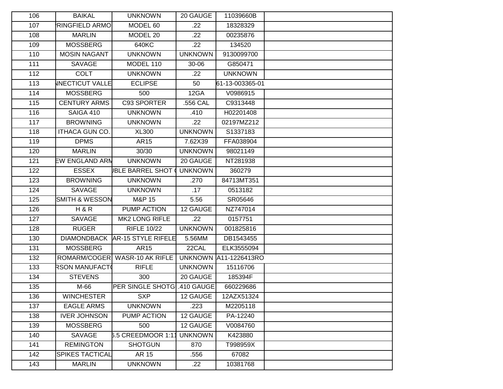| 106 | <b>BAIKAL</b>             | <b>UNKNOWN</b>                | 20 GAUGE       | 11039660B                    |  |
|-----|---------------------------|-------------------------------|----------------|------------------------------|--|
| 107 | <b>RINGFIELD ARMO</b>     | MODEL 60                      | .22            | 18328329                     |  |
| 108 | <b>MARLIN</b>             | MODEL 20                      | .22            | 00235876                     |  |
| 109 | <b>MOSSBERG</b>           | 640KC                         | .22            | 134520                       |  |
| 110 | <b>MOSIN NAGANT</b>       | <b>UNKNOWN</b>                | <b>UNKNOWN</b> | 9130099700                   |  |
| 111 | SAVAGE                    | MODEL 110                     | 30-06          | G850471                      |  |
| 112 | <b>COLT</b>               | <b>UNKNOWN</b>                | .22            | <b>UNKNOWN</b>               |  |
| 113 | <b>INECTICUT VALLE</b>    | <b>ECLIPSE</b>                | 50             | 61-13-003365-01              |  |
| 114 | <b>MOSSBERG</b>           | 500                           | 12GA           | V0986915                     |  |
| 115 | <b>CENTURY ARMS</b>       | C93 SPORTER                   | .556 CAL       | C9313448                     |  |
| 116 | SAIGA 410                 | <b>UNKNOWN</b>                | .410           | H02201408                    |  |
| 117 | <b>BROWNING</b>           | <b>UNKNOWN</b>                | .22            | 02197MZ212                   |  |
| 118 | ITHACA GUN CO.            | <b>XL300</b>                  | <b>UNKNOWN</b> | S1337183                     |  |
| 119 | <b>DPMS</b>               | AR15                          | 7.62X39        | FFA038904                    |  |
| 120 | <b>MARLIN</b>             | 30/30                         | <b>UNKNOWN</b> | 98021149                     |  |
| 121 | <b>EW ENGLAND ARN</b>     | <b>UNKNOWN</b>                | 20 GAUGE       | NT281938                     |  |
| 122 | <b>ESSEX</b>              | <b>JBLE BARREL SHOT</b>       | <b>UNKNOWN</b> | 360279                       |  |
| 123 | <b>BROWNING</b>           | <b>UNKNOWN</b>                | .270           | 84713MT351                   |  |
| 124 | <b>SAVAGE</b>             | <b>UNKNOWN</b>                | .17            | 0513182                      |  |
| 125 | <b>SMITH &amp; WESSON</b> | M&P 15                        | 5.56           | SR05646                      |  |
| 126 | H & R                     | PUMP ACTION                   | 12 GAUGE       | NZ747014                     |  |
| 127 | SAVAGE                    | <b>MK2 LONG RIFLE</b>         | .22            | 0157751                      |  |
| 128 | <b>RUGER</b>              | <b>RIFLE 10/22</b>            | <b>UNKNOWN</b> | 001825816                    |  |
| 130 | <b>DIAMONDBACK</b>        | AR-15 STYLE RIFELE            | 5.56MM         | DB1543455                    |  |
| 131 | <b>MOSSBERG</b>           | AR15                          | 22CAL          | ELK3555094                   |  |
| 132 |                           | ROMARM/COGER WASR-10 AK RIFLE |                | <b>UNKNOWN A11-1226413RO</b> |  |
| 133 | RSON MANUFACT(            | <b>RIFLE</b>                  | <b>UNKNOWN</b> | 15116706                     |  |
| 134 | <b>STEVENS</b>            | 300                           | 20 GAUGE       | 185394F                      |  |
| 135 | M-66                      | <b>PER SINGLE SHOTG</b>       | .410 GAUGE     | 660229686                    |  |
| 136 | <b>WINCHESTER</b>         | SXP                           | 12 GAUGE       | 12AZX51324                   |  |
| 137 | <b>EAGLE ARMS</b>         | <b>UNKNOWN</b>                | .223           | M2205118                     |  |
| 138 | <b>IVER JOHNSON</b>       | PUMP ACTION                   | 12 GAUGE       | PA-12240                     |  |
| 139 | <b>MOSSBERG</b>           | 500                           | 12 GAUGE       | V0084760                     |  |
| 140 | SAVAGE                    | 6.5 CREEDMOOR 1:1             | <b>UNKNOWN</b> | K423880                      |  |
| 141 | <b>REMINGTON</b>          | <b>SHOTGUN</b>                | 870            | T998959X                     |  |
| 142 | <b>SPIKES TACTICAL</b>    | AR 15                         | .556           | 67082                        |  |
| 143 | <b>MARLIN</b>             | <b>UNKNOWN</b>                | .22            | 10381768                     |  |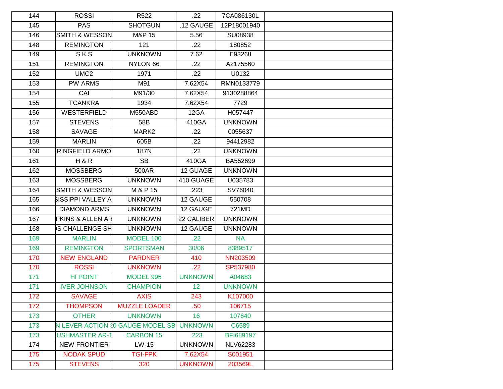| 144 | <b>ROSSI</b>                | R <sub>522</sub>          | .22             | 7CA086130L      |  |
|-----|-----------------------------|---------------------------|-----------------|-----------------|--|
| 145 | <b>PAS</b>                  | <b>SHOTGUN</b>            | .12 GAUGE       | 12P18001940     |  |
| 146 | <b>SMITH &amp; WESSON</b>   | M&P 15                    | 5.56            | SU08938         |  |
| 148 | <b>REMINGTON</b>            | 121                       | .22             | 180852          |  |
| 149 | SKS                         | <b>UNKNOWN</b>            | 7.62            | E93268          |  |
| 151 | <b>REMINGTON</b>            | NYLON 66                  | .22             | A2175560        |  |
| 152 | UMC <sub>2</sub>            | 1971                      | .22             | U0132           |  |
| 153 | <b>PW ARMS</b>              | M91                       | 7.62X54         | RMN0133779      |  |
| 154 | CAI                         | M91/30                    | 7.62X54         | 9130288864      |  |
| 155 | <b>TCANKRA</b>              | 1934                      | 7.62X54         | 7729            |  |
| 156 | WESTERFIELD                 | M550ABD                   | 12GA            | H057447         |  |
| 157 | <b>STEVENS</b>              | 58B                       | 410GA           | <b>UNKNOWN</b>  |  |
| 158 | SAVAGE                      | MARK2                     | .22             | 0055637         |  |
| 159 | <b>MARLIN</b>               | 605B                      | .22             | 94412982        |  |
| 160 | <b>RINGFIELD ARMO</b>       | 187N                      | .22             | <b>UNKNOWN</b>  |  |
| 161 | H & R                       | <b>SB</b>                 | 410GA           | BA552699        |  |
| 162 | <b>MOSSBERG</b>             | 500AR                     | 12 GUAGE        | <b>UNKNOWN</b>  |  |
| 163 | <b>MOSSBERG</b>             | <b>UNKNOWN</b>            | 410 GUAGE       | U035783         |  |
| 164 | <b>SMITH &amp; WESSON</b>   | M & P 15                  | .223            | SV76040         |  |
| 165 | SISSIPPI VALLEY A           | <b>UNKNOWN</b>            | 12 GAUGE        | 550708          |  |
| 166 | <b>DIAMOND ARMS</b>         | <b>UNKNOWN</b>            | 12 GAUGE        | 721MD           |  |
| 167 | <b>PKINS &amp; ALLEN AR</b> | <b>UNKNOWN</b>            | 22 CALIBER      | <b>UNKNOWN</b>  |  |
| 168 | <b>S CHALLENGE SH</b>       | <b>UNKNOWN</b>            | 12 GAUGE        | <b>UNKNOWN</b>  |  |
| 169 | <b>MARLIN</b>               | <b>MODEL 100</b>          | .22             | <b>NA</b>       |  |
| 169 | <b>REMINGTON</b>            | <b>SPORTSMAN</b>          | 30/06           | 8389517         |  |
| 170 | <b>NEW ENGLAND</b>          | <b>PARDNER</b>            | 410             | NN203509        |  |
| 170 | <b>ROSSI</b>                | <b>UNKNOWN</b>            | .22             | SP537980        |  |
| 171 | <b>HI POINT</b>             | <b>MODEL 995</b>          | <b>UNKNOWN</b>  | A04683          |  |
| 171 | <b>IVER JOHNSON</b>         | <b>CHAMPION</b>           | 12 <sub>2</sub> | <b>UNKNOWN</b>  |  |
| 172 | <b>SAVAGE</b>               | <b>AXIS</b>               | 243             | K107000         |  |
| 172 | <b>THOMPSON</b>             | <b>MUZZLE LOADER</b>      | .50             | 106715          |  |
| 173 | <b>OTHER</b>                | <b>UNKNOWN</b>            | 16              | 107640          |  |
| 173 | <b>N LEVER ACTION</b>       | <b>\$0 GAUGE MODEL SB</b> | <b>UNKNOWN</b>  | C6589           |  |
| 173 | <b>USHMASTER AR-1</b>       | <b>CARBON 15</b>          | .223            | BFI689197       |  |
| 174 | <b>NEW FRONTIER</b>         | LW-15                     | <b>UNKNOWN</b>  | <b>NLV62283</b> |  |
| 175 | <b>NODAK SPUD</b>           | <b>TGI-FPK</b>            | 7.62X54         | S001951         |  |
| 175 | <b>STEVENS</b>              | 320                       | <b>UNKNOWN</b>  | 203569L         |  |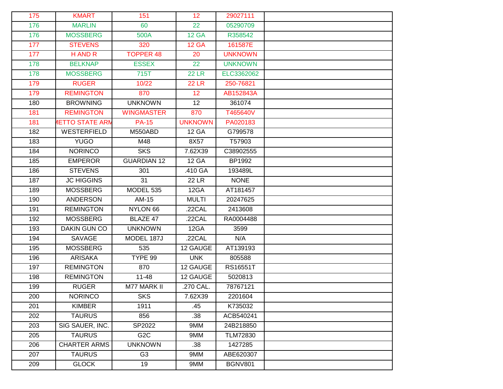| 175 | <b>KMART</b>           | 151                | 12 <sup>2</sup> | 29027111        |  |
|-----|------------------------|--------------------|-----------------|-----------------|--|
| 176 | <b>MARLIN</b>          | 60                 | 22              | 05290709        |  |
| 176 | <b>MOSSBERG</b>        | 500A               | <b>12 GA</b>    | R358542         |  |
| 177 | <b>STEVENS</b>         | 320                | <b>12 GA</b>    | 161587E         |  |
| 177 | H AND R                | <b>TOPPER 48</b>   | 20              | <b>UNKNOWN</b>  |  |
| 178 | <b>BELKNAP</b>         | <b>ESSEX</b>       | 22              | <b>UNKNOWN</b>  |  |
| 178 | <b>MOSSBERG</b>        | 715T               | <b>22 LR</b>    | ELC3362062      |  |
| 179 | <b>RUGER</b>           | 10/22              | <b>22 LR</b>    | 250-76821       |  |
| 179 | <b>REMINGTON</b>       | 870                | 12              | AB152843A       |  |
| 180 | <b>BROWNING</b>        | <b>UNKNOWN</b>     | 12              | 361074          |  |
| 181 | <b>REMINGTON</b>       | <b>WINGMASTER</b>  | 870             | T465640V        |  |
| 181 | <b>IETTO STATE ARN</b> | <b>PA-15</b>       | <b>UNKNOWN</b>  | PA020183        |  |
| 182 | WESTERFIELD            | M550ABD            | <b>12 GA</b>    | G799578         |  |
| 183 | <b>YUGO</b>            | M48                | 8X57            | T57903          |  |
| 184 | <b>NORINCO</b>         | <b>SKS</b>         | 7.62X39         | C38902555       |  |
| 185 | <b>EMPEROR</b>         | <b>GUARDIAN 12</b> | <b>12 GA</b>    | BP1992          |  |
| 186 | <b>STEVENS</b>         | 301                | .410 GA         | 193489L         |  |
| 187 | <b>JC HIGGINS</b>      | 31                 | <b>22 LR</b>    | <b>NONE</b>     |  |
| 189 | <b>MOSSBERG</b>        | MODEL 535          | 12GA            | AT181457        |  |
| 190 | <b>ANDERSON</b>        | AM-15              | <b>MULTI</b>    | 20247625        |  |
| 191 | <b>REMINGTON</b>       | NYLON 66           | .22CAL          | 2413608         |  |
| 192 | <b>MOSSBERG</b>        | BLAZE 47           | .22CAL          | RA0004488       |  |
| 193 | DAKIN GUN CO           | <b>UNKNOWN</b>     | 12GA            | 3599            |  |
| 194 | SAVAGE                 | MODEL 187J         | .22CAL          | N/A             |  |
| 195 | <b>MOSSBERG</b>        | 535                | 12 GAUGE        | AT139193        |  |
| 196 | ARISAKA                | TYPE 99            | <b>UNK</b>      | 805588          |  |
| 197 | <b>REMINGTON</b>       | 870                | 12 GAUGE        | RS16551T        |  |
| 198 | <b>REMINGTON</b>       | $11 - 48$          | 12 GAUGE        | 5020813         |  |
| 199 | <b>RUGER</b>           | <b>M77 MARK II</b> | .270 CAL.       | 78767121        |  |
| 200 | <b>NORINCO</b>         | <b>SKS</b>         | 7.62X39         | 2201604         |  |
| 201 | <b>KIMBER</b>          | 1911               | .45             | K735032         |  |
| 202 | <b>TAURUS</b>          | 856                | .38             | ACB540241       |  |
| 203 | SIG SAUER, INC.        | SP2022             | 9MM             | 24B218850       |  |
| 205 | <b>TAURUS</b>          | G <sub>2</sub> C   | 9MM             | <b>TLM72830</b> |  |
| 206 | <b>CHARTER ARMS</b>    | <b>UNKNOWN</b>     | .38             | 1427285         |  |
| 207 | <b>TAURUS</b>          | G <sub>3</sub>     | 9MM             | ABE620307       |  |
| 209 | <b>GLOCK</b>           | 19                 | 9MM             | <b>BGNV801</b>  |  |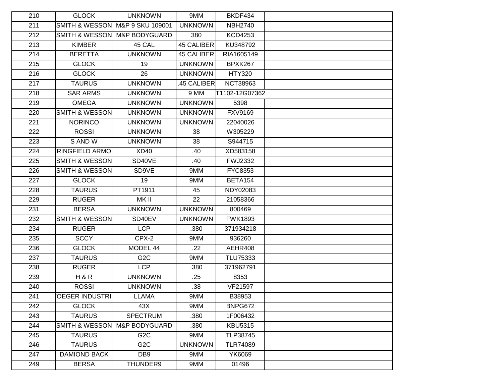| 210 | <b>GLOCK</b>              | <b>UNKNOWN</b>           | 9MM               | BKDF434             |  |
|-----|---------------------------|--------------------------|-------------------|---------------------|--|
| 211 | <b>SMITH &amp; WESSON</b> | M&P 9 SKU 109001         | <b>UNKNOWN</b>    | <b>NBH2740</b>      |  |
| 212 | <b>SMITH &amp; WESSON</b> | <b>M&amp;P BODYGUARD</b> | 380               | <b>KCD4253</b>      |  |
| 213 | <b>KIMBER</b>             | 45 CAL                   | <b>45 CALIBER</b> | KU348792            |  |
| 214 | <b>BERETTA</b>            | <b>UNKNOWN</b>           | <b>45 CALIBER</b> | RIA1605149          |  |
| 215 | <b>GLOCK</b>              | 19                       | <b>UNKNOWN</b>    | BPXK267             |  |
| 216 | <b>GLOCK</b>              | 26                       | <b>UNKNOWN</b>    | <b>HTY320</b>       |  |
| 217 | <b>TAURUS</b>             | <b>UNKNOWN</b>           | 45 CALIBER        | <b>NCT38963</b>     |  |
| 218 | <b>SAR ARMS</b>           | <b>UNKNOWN</b>           | 9 MM              | T1102-12G07362      |  |
| 219 | <b>OMEGA</b>              | <b>UNKNOWN</b>           | <b>UNKNOWN</b>    | 5398                |  |
| 220 | <b>SMITH &amp; WESSON</b> | <b>UNKNOWN</b>           | <b>UNKNOWN</b>    | <b>FXV9169</b>      |  |
| 221 | <b>NORINCO</b>            | <b>UNKNOWN</b>           | <b>UNKNOWN</b>    | 22040026            |  |
| 222 | <b>ROSSI</b>              | <b>UNKNOWN</b>           | 38                | W305229             |  |
| 223 | S AND W                   | <b>UNKNOWN</b>           | 38                | S944715             |  |
| 224 | <b>RINGFIELD ARMO</b>     | XD40                     | .40               | XD583158            |  |
| 225 | <b>SMITH &amp; WESSON</b> | SD40VE                   | .40               | <b>FWJ2332</b>      |  |
| 226 | <b>SMITH &amp; WESSON</b> | SD9VE                    | 9MM               | FYC8353             |  |
| 227 | <b>GLOCK</b>              | 19                       | 9MM               | BETA <sub>154</sub> |  |
| 228 | <b>TAURUS</b>             | PT1911                   | 45                | NDY02083            |  |
| 229 | <b>RUGER</b>              | MK II                    | 22                | 21058366            |  |
| 231 | <b>BERSA</b>              | <b>UNKNOWN</b>           | <b>UNKNOWN</b>    | 800469              |  |
| 232 | <b>SMITH &amp; WESSON</b> | SD40EV                   | <b>UNKNOWN</b>    | <b>FWK1893</b>      |  |
| 234 | <b>RUGER</b>              | <b>LCP</b>               | .380              | 371934218           |  |
| 235 | <b>SCCY</b>               | $CPX-2$                  | 9MM               | 936260              |  |
| 236 | <b>GLOCK</b>              | MODEL 44                 | .22               | AEHR408             |  |
| 237 | <b>TAURUS</b>             | G <sub>2</sub> C         | 9MM               | TLU75333            |  |
| 238 | <b>RUGER</b>              | <b>LCP</b>               | .380              | 371962791           |  |
| 239 | H & R                     | <b>UNKNOWN</b>           | .25               | 8353                |  |
| 240 | <b>ROSSI</b>              | <b>UNKNOWN</b>           | .38               | VF21597             |  |
| 241 | <b>OEGER INDUSTRI</b>     | LLAMA                    | 9MM               | B38953              |  |
| 242 | <b>GLOCK</b>              | 43X                      | 9MM               | BNPG672             |  |
| 243 | <b>TAURUS</b>             | <b>SPECTRUM</b>          | .380              | 1F006432            |  |
| 244 | <b>SMITH &amp; WESSON</b> | <b>M&amp;P BODYGUARD</b> | .380              | <b>KBU5315</b>      |  |
| 245 | <b>TAURUS</b>             | G <sub>2</sub> C         | 9MM               | TLP38745            |  |
| 246 | <b>TAURUS</b>             | G <sub>2</sub> C         | <b>UNKNOWN</b>    | <b>TLR74089</b>     |  |
| 247 | <b>DAMIOND BACK</b>       | DB <sub>9</sub>          | 9MM               | YK6069              |  |
| 249 | <b>BERSA</b>              | THUNDER9                 | 9MM               | 01496               |  |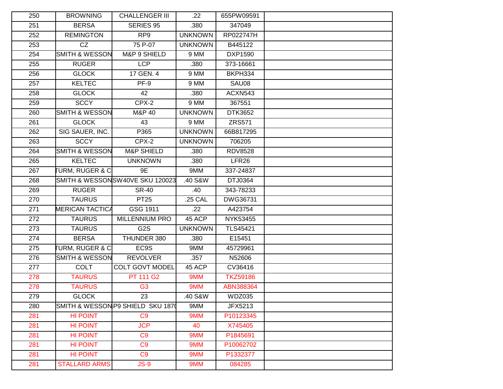| 250 | <b>BROWNING</b>            | <b>CHALLENGER III</b>             | $.22\,$        | 655PW09591        |  |
|-----|----------------------------|-----------------------------------|----------------|-------------------|--|
| 251 | <b>BERSA</b>               | <b>SERIES 95</b>                  | .380           | 347049            |  |
| 252 | <b>REMINGTON</b>           | RP <sub>9</sub>                   | <b>UNKNOWN</b> | RP022747H         |  |
| 253 | $\overline{CZ}$            | 75 P-07                           | <b>UNKNOWN</b> | B445122           |  |
| 254 | <b>SMITH &amp; WESSON</b>  | M&P 9 SHIELD                      | 9 MM           | DXP1590           |  |
| 255 | <b>RUGER</b>               | <b>LCP</b>                        | .380           | 373-16661         |  |
| 256 | <b>GLOCK</b>               | 17 GEN. 4                         | 9 MM           | BKPH334           |  |
| 257 | <b>KELTEC</b>              | $PF-9$                            | 9 MM           | SAU08             |  |
| 258 | <b>GLOCK</b>               | 42                                | .380           | ACXN543           |  |
| 259 | <b>SCCY</b>                | $CPX-2$                           | 9 MM           | 367551            |  |
| 260 | <b>SMITH &amp; WESSON</b>  | M&P 40                            | <b>UNKNOWN</b> | DTK3652           |  |
| 261 | <b>GLOCK</b>               | 43                                | 9 MM           | <b>ZRS571</b>     |  |
| 262 | SIG SAUER, INC.            | P365                              | <b>UNKNOWN</b> | 66B817295         |  |
| 263 | <b>SCCY</b>                | CPX-2                             | <b>UNKNOWN</b> | 706205            |  |
| 264 | <b>SMITH &amp; WESSON</b>  | <b>M&amp;P SHIELD</b>             | .380           | <b>RDV8528</b>    |  |
| 265 | <b>KELTEC</b>              | <b>UNKNOWN</b>                    | .380           | LFR <sub>26</sub> |  |
| 267 | <b>URM, RUGER &amp; C</b>  | 9E                                | 9MM            | 337-24837         |  |
| 268 |                            | SMITH & WESSONSW40VE SKU 120023   | .40 S&W        | DTJ0364           |  |
| 269 | <b>RUGER</b>               | <b>SR-40</b>                      | .40            | 343-78233         |  |
| 270 | <b>TAURUS</b>              | <b>PT25</b>                       | .25 CAL        | DWG36731          |  |
| 271 | <b>MERICAN TACTICA</b>     | GSG 1911                          | .22            | A423754           |  |
| 272 | <b>TAURUS</b>              | MILLENNIUM PRO                    | 45 ACP         | NYK53455          |  |
| 273 | <b>TAURUS</b>              | G <sub>2</sub> S                  | <b>UNKNOWN</b> | <b>TLS45421</b>   |  |
| 274 | <b>BERSA</b>               | THUNDER 380                       | .380           | E15451            |  |
| 275 | <b>TURM, RUGER &amp; C</b> | EC9S                              | 9MM            | 45729961          |  |
| 276 | <b>SMITH &amp; WESSON</b>  | <b>REVOLVER</b>                   | .357           | N52606            |  |
| 277 | <b>COLT</b>                | <b>COLT GOVT MODEL</b>            | 45 ACP         | CV36416           |  |
| 278 | <b>TAURUS</b>              | PT 111 G2                         | 9MM            | <b>TKZ59186</b>   |  |
| 278 | <b>TAURUS</b>              | G <sub>3</sub>                    | 9MM            | ABN388364         |  |
| 279 | <b>GLOCK</b>               | 23                                | .40 S&W        | WDZ035            |  |
| 280 |                            | SMITH & WESSON P9 SHIELD SKU 1870 | 9MM            | JFX5213           |  |
| 281 | <b>HI POINT</b>            | C9                                | 9MM            | P10123345         |  |
| 281 | <b>HI POINT</b>            | <b>JCP</b>                        | 40             | X745405           |  |
| 281 | <b>HI POINT</b>            | C9                                | 9MM            | P1845691          |  |
| 281 | <b>HI POINT</b>            | C <sub>9</sub>                    | 9MM            | P10062702         |  |
| 281 | <b>HI POINT</b>            | C <sub>9</sub>                    | 9MM            | P1332377          |  |
| 281 | <b>STALLARD ARMS</b>       | $JS-9$                            | 9MM            | 084285            |  |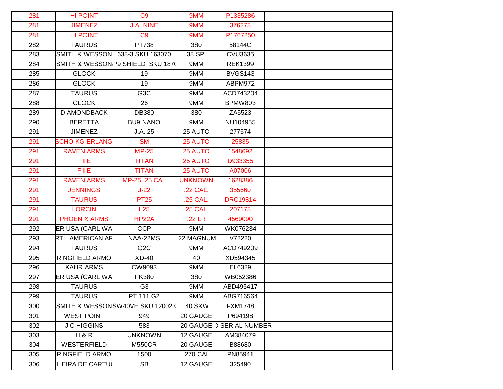| 281 | <b>HI POINT</b>           | C <sub>9</sub>                    | 9MM            | P1335286                 |  |
|-----|---------------------------|-----------------------------------|----------------|--------------------------|--|
| 281 | <b>JIMENEZ</b>            | <b>J.A. NINE</b>                  | 9MM            | 376278                   |  |
| 281 | <b>HI POINT</b>           | C <sub>9</sub>                    | 9MM            | P1767250                 |  |
| 282 | <b>TAURUS</b>             | <b>PT738</b>                      | 380            | 58144C                   |  |
| 283 | <b>SMITH &amp; WESSON</b> | 638-3 SKU 163070                  | 38 SPL         | <b>CVU3635</b>           |  |
| 284 |                           | SMITH & WESSON P9 SHIELD SKU 1870 | 9MM            | <b>REK1399</b>           |  |
| 285 | <b>GLOCK</b>              | 19                                | 9MM            | <b>BVGS143</b>           |  |
| 286 | <b>GLOCK</b>              | 19                                | 9MM            | ABPM972                  |  |
| 287 | <b>TAURUS</b>             | G3C                               | 9MM            | ACD743204                |  |
| 288 | <b>GLOCK</b>              | 26                                | 9MM            | <b>BPMW803</b>           |  |
| 289 | <b>DIAMONDBACK</b>        | DB380                             | 380            | ZA5523                   |  |
| 290 | <b>BERETTA</b>            | <b>BU9 NANO</b>                   | 9MM            | NU104955                 |  |
| 291 | <b>JIMENEZ</b>            | J.A. 25                           | 25 AUTO        | 277574                   |  |
| 291 | <b>SCHO-KG ERLANG</b>     | <b>SM</b>                         | 25 AUTO        | 25835                    |  |
| 291 | <b>RAVEN ARMS</b>         | $MP-25$                           | 25 AUTO        | 1548692                  |  |
| 291 | FIE.                      | <b>TITAN</b>                      | 25 AUTO        | D933355                  |  |
| 291 | FIE.                      | <b>TITAN</b>                      | 25 AUTO        | A07006                   |  |
| 291 | <b>RAVEN ARMS</b>         | MP-25 .25 CAL                     | <b>UNKNOWN</b> | 1628386                  |  |
| 291 | <b>JENNINGS</b>           | $J-22$                            | .22 CAL.       | 355660                   |  |
| 291 | <b>TAURUS</b>             | <b>PT25</b>                       | .25 CAL.       | <b>DRC19814</b>          |  |
| 291 | <b>LORCIN</b>             | L25                               | .25 CAL.       | 207178                   |  |
| 291 | <b>PHOENIX ARMS</b>       | <b>HP22A</b>                      | .22 LR         | 4569090                  |  |
| 292 | ER USA (CARL WA           | <b>CCP</b>                        | 9MM            | WK076234                 |  |
| 293 | RTH AMERICAN AF           | NAA-22MS                          | 22 MAGNUM      | V72220                   |  |
| 294 | <b>TAURUS</b>             | G <sub>2</sub> C                  | 9MM            | ACD749209                |  |
| 295 | <b>RINGFIELD ARMO</b>     | XD-40                             | 40             | XD594345                 |  |
| 296 | <b>KAHR ARMS</b>          | CW9093                            | 9MM            | EL6329                   |  |
| 297 | ER USA (CARL WA           | <b>PK380</b>                      | 380            | WB052386                 |  |
| 298 | <b>TAURUS</b>             | G <sub>3</sub>                    | 9MM            | ABD495417                |  |
| 299 | <b>TAURUS</b>             | PT 111 G2                         | 9MM            | ABG716564                |  |
| 300 |                           | SMITH & WESSONSW40VE SKU 120023   | .40 S&W        | <b>FXM1748</b>           |  |
| 301 | <b>WEST POINT</b>         | 949                               | 20 GAUGE       | P694198                  |  |
| 302 | <b>J C HIGGINS</b>        | 583                               |                | 20 GAUGE D SERIAL NUMBER |  |
| 303 | H&R                       | <b>UNKNOWN</b>                    | 12 GAUGE       | AM384079                 |  |
| 304 | WESTERFIELD               | <b>M550CR</b>                     | 20 GAUGE       | B88680                   |  |
| 305 | <b>RINGFIELD ARMO</b>     | 1500                              | .270 CAL       | PN85941                  |  |
| 306 | ILEIRA DE CARTU           | SB                                | 12 GAUGE       | 325490                   |  |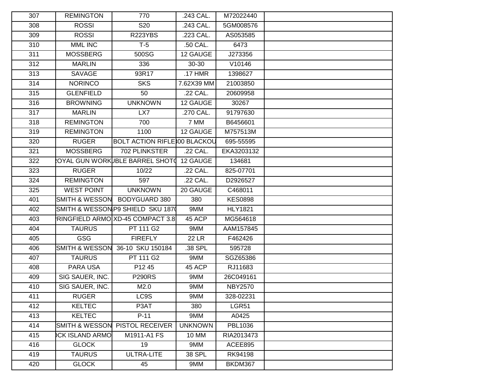| 307 | <b>REMINGTON</b>          | 770                                 | .243 CAL.      | M72022440      |  |
|-----|---------------------------|-------------------------------------|----------------|----------------|--|
| 308 | <b>ROSSI</b>              | S20                                 | .243 CAL.      | 5GM008576      |  |
| 309 | <b>ROSSI</b>              | <b>R223YBS</b>                      | .223 CAL.      | AS053585       |  |
| 310 | <b>MML INC</b>            | $T-5$                               | .50 CAL.       | 6473           |  |
| 311 | <b>MOSSBERG</b>           | 500SG                               | 12 GAUGE       | J273356        |  |
| 312 | <b>MARLIN</b>             | 336                                 | 30-30          | V10146         |  |
| 313 | SAVAGE                    | 93R17                               | .17 HMR        | 1398627        |  |
| 314 | <b>NORINCO</b>            | <b>SKS</b>                          | 7.62X39 MM     | 21003850       |  |
| 315 | <b>GLENFIELD</b>          | 50                                  | .22 CAL.       | 20609958       |  |
| 316 | <b>BROWNING</b>           | <b>UNKNOWN</b>                      | 12 GAUGE       | 30267          |  |
| 317 | <b>MARLIN</b>             | LX7                                 | .270 CAL.      | 91797630       |  |
| 318 | <b>REMINGTON</b>          | 700                                 | 7 MM           | B6456601       |  |
| 319 | <b>REMINGTON</b>          | 1100                                | 12 GAUGE       | M757513M       |  |
| 320 | <b>RUGER</b>              | <b>BOLT ACTION RIFLE 00 BLACKOU</b> |                | 695-55595      |  |
| 321 | <b>MOSSBERG</b>           | 702 PLINKSTER                       | .22 CAL.       | EKA3203132     |  |
| 322 |                           | OYAL GUN WORKUBLE BARREL SHOT(      | 12 GAUGE       | 134681         |  |
| 323 | <b>RUGER</b>              | 10/22                               | .22 CAL.       | 825-07701      |  |
| 324 | <b>REMINGTON</b>          | 597                                 | .22 CAL.       | D2926527       |  |
| 325 | <b>WEST POINT</b>         | <b>UNKNOWN</b>                      | 20 GAUGE       | C468011        |  |
| 401 | <b>SMITH &amp; WESSON</b> | <b>BODYGUARD 380</b>                | 380            | <b>KES0898</b> |  |
| 402 |                           | SMITH & WESSON P9 SHIELD SKU 1870   | 9MM            | <b>HLY1821</b> |  |
| 403 |                           | RINGFIELD ARMO XD-45 COMPACT 3.8    | 45 ACP         | MG564618       |  |
| 404 | <b>TAURUS</b>             | PT 111 G2                           | 9MM            | AAM157845      |  |
| 405 | <b>GSG</b>                | <b>FIREFLY</b>                      | $22$ LR        | F462426        |  |
| 406 | <b>SMITH &amp; WESSON</b> | 36-10 SKU 150184                    | .38 SPL        | 595728         |  |
| 407 | <b>TAURUS</b>             | PT 111 G2                           | 9MM            | SGZ65386       |  |
| 408 | PARA USA                  | P12 45                              | 45 ACP         | RJ11683        |  |
| 409 | SIG SAUER, INC.           | <b>P290RS</b>                       | 9MM            | 26C049161      |  |
| 410 | SIG SAUER, INC.           | M2.0                                | 9MM            | <b>NBY2570</b> |  |
| 411 | <b>RUGER</b>              | LC9S                                | 9MM            | 328-02231      |  |
| 412 | <b>KELTEC</b>             | P3AT                                | 380            | <b>LGR51</b>   |  |
| 413 | <b>KELTEC</b>             | $P-11$                              | 9MM            | A0425          |  |
| 414 | <b>SMITH &amp; WESSON</b> | <b>PISTOL RECEIVER</b>              | <b>UNKNOWN</b> | <b>PBL1036</b> |  |
| 415 | <b>CK ISLAND ARMO</b>     | M1911-A1 FS                         | <b>10 MM</b>   | RIA2013473     |  |
| 416 | <b>GLOCK</b>              | 19                                  | 9MM            | ACEE895        |  |
| 419 | <b>TAURUS</b>             | <b>ULTRA-LITE</b>                   | <b>38 SPL</b>  | RK94198        |  |
| 420 | <b>GLOCK</b>              | 45                                  | 9MM            | BKDM367        |  |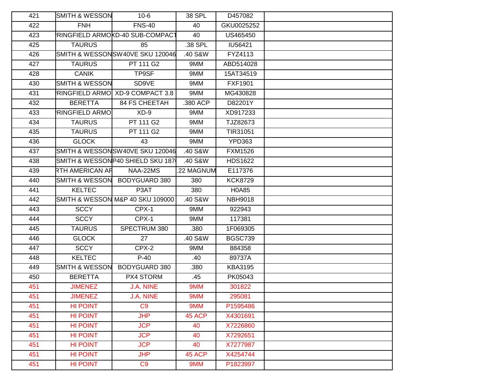| 421 | SMITH & WESSON            | $10-6$                           | 38 SPL     | D457082        |  |
|-----|---------------------------|----------------------------------|------------|----------------|--|
| 422 | <b>FNH</b>                | <b>FNS-40</b>                    | 40         | GKU0025252     |  |
| 423 |                           | RINGFIELD ARMOKD-40 SUB-COMPACT  | 40         | US465450       |  |
| 425 | <b>TAURUS</b>             | 85                               | .38 SPL    | IU56421        |  |
| 426 |                           | SMITH & WESSONSW40VE SKU 120046  | .40 S&W    | FYZ4113        |  |
| 427 | <b>TAURUS</b>             | PT 111 G2                        | 9MM        | ABD514028      |  |
| 428 | <b>CANIK</b>              | TP9SF                            | 9MM        | 15AT34519      |  |
| 430 | <b>SMITH &amp; WESSON</b> | SD9VE                            | 9MM        | <b>FXF1901</b> |  |
| 431 |                           | RINGFIELD ARMO XD-9 COMPACT 3.8  | 9MM        | MG430828       |  |
| 432 | <b>BERETTA</b>            | <b>84 FS CHEETAH</b>             | .380 ACP   | D82201Y        |  |
| 433 | <b>RINGFIELD ARMO</b>     | $XD - 9$                         | 9MM        | XD917233       |  |
| 434 | <b>TAURUS</b>             | PT 111 G2                        | 9MM        | TJZ82673       |  |
| 435 | <b>TAURUS</b>             | PT 111 G2                        | 9MM        | TIR31051       |  |
| 436 | <b>GLOCK</b>              | 43                               | 9MM        | <b>YPD363</b>  |  |
| 437 |                           | SMITH & WESSONSW40VE SKU 120046  | .40 S&W    | <b>FXM1526</b> |  |
| 438 |                           | SMITH & WESSONP40 SHIELD SKU 187 | .40 S&W    | <b>HDS1622</b> |  |
| 439 | RTH AMERICAN AR           | NAA-22MS                         | .22 MAGNUM | E117376        |  |
| 440 | <b>SMITH &amp; WESSON</b> | BODYGUARD 380                    | 380        | <b>KCK8729</b> |  |
| 441 | <b>KELTEC</b>             | P3AT                             | 380        | H0A85          |  |
| 442 |                           | SMITH & WESSON M&P 40 SKU 109000 | .40 S&W    | <b>NBH9018</b> |  |
| 443 | <b>SCCY</b>               | CPX-1                            | 9MM        | 922943         |  |
| 444 | <b>SCCY</b>               | CPX-1                            | 9MM        | 117381         |  |
| 445 | <b>TAURUS</b>             | SPECTRUM 380                     | .380       | 1F069305       |  |
| 446 | <b>GLOCK</b>              | 27                               | .40 S&W    | <b>BGSC739</b> |  |
| 447 | <b>SCCY</b>               | CPX-2                            | 9MM        | 884358         |  |
| 448 | <b>KELTEC</b>             | $P-40$                           | .40        | 89737A         |  |
| 449 | <b>SMITH &amp; WESSON</b> | BODYGUARD 380                    | .380       | <b>KBA3195</b> |  |
| 450 | <b>BERETTA</b>            | PX4 STORM                        | .45        | PK05043        |  |
| 451 | <b>JIMENEZ</b>            | J.A. NINE                        | 9MM        | 301822         |  |
| 451 | <b>JIMENEZ</b>            | J.A. NINE                        | 9MM        | 295081         |  |
| 451 | <b>HI POINT</b>           | C <sub>9</sub>                   | 9MM        | P1595486       |  |
| 451 | <b>HI POINT</b>           | <b>JHP</b>                       | 45 ACP     | X4301691       |  |
| 451 | <b>HI POINT</b>           | <b>JCP</b>                       | 40         | X7226860       |  |
| 451 | <b>HI POINT</b>           | <b>JCP</b>                       | 40         | X7292651       |  |
| 451 | <b>HI POINT</b>           | <b>JCP</b>                       | 40         | X7277987       |  |
| 451 | <b>HI POINT</b>           | <b>JHP</b>                       | 45 ACP     | X4254744       |  |
| 451 | <b>HI POINT</b>           | C <sub>9</sub>                   | 9MM        | P1823997       |  |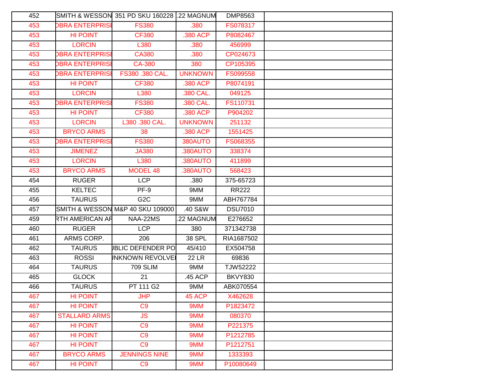| 452 |                        | SMITH & WESSON_351 PD SKU 160228 I.22 MAGNUM |                | DMP8563        |  |
|-----|------------------------|----------------------------------------------|----------------|----------------|--|
| 453 | <b>DBRA ENTERPRISE</b> | <b>FS380</b>                                 | .380           | FS078317       |  |
| 453 | <b>HI POINT</b>        | <b>CF380</b>                                 | .380 ACP       | P8082467       |  |
| 453 | <b>LORCIN</b>          | L380                                         | .380           | 456999         |  |
| 453 | <b>DBRA ENTERPRISE</b> | <b>CA380</b>                                 | .380           | CP024673       |  |
| 453 | <b>DBRA ENTERPRISE</b> | <b>CA-380</b>                                | 380            | CP105395       |  |
| 453 | <b>DBRA ENTERPRISE</b> | FS380.380 CAL.                               | <b>UNKNOWN</b> | FS099558       |  |
| 453 | HI POINT               | <b>CF380</b>                                 | .380 ACP       | P8074191       |  |
| 453 | <b>LORCIN</b>          | L380                                         | .380 CAL.      | 049125         |  |
| 453 | <b>DBRA ENTERPRISE</b> | <b>FS380</b>                                 | .380 CAL.      | FS110731       |  |
| 453 | <b>HI POINT</b>        | <b>CF380</b>                                 | .380 ACP       | P904202        |  |
| 453 | <b>LORCIN</b>          | L380 .380 CAL.                               | <b>UNKNOWN</b> | 251132         |  |
| 453 | <b>BRYCO ARMS</b>      | 38                                           | .380 ACP       | 1551425        |  |
| 453 | <b>DBRA ENTERPRISE</b> | <b>FS380</b>                                 | 380AUTO        | FS068355       |  |
| 453 | <b>JIMENEZ</b>         | <b>JA380</b>                                 | .380AUTO       | 338374         |  |
| 453 | <b>LORCIN</b>          | L380                                         | .380AUTO       | 411899         |  |
| 453 | <b>BRYCO ARMS</b>      | MODEL 48                                     | .380AUTO       | 568423         |  |
| 454 | <b>RUGER</b>           | <b>LCP</b>                                   | .380           | 375-65723      |  |
| 455 | <b>KELTEC</b>          | PF-9                                         | 9MM            | <b>RR222</b>   |  |
| 456 | <b>TAURUS</b>          | G <sub>2</sub> C                             | 9MM            | ABH767784      |  |
| 457 |                        | SMITH & WESSON M&P 40 SKU 109000             | .40 S&W        | <b>DSU7010</b> |  |
| 459 | RTH AMERICAN AF        | NAA-22MS                                     | 22 MAGNUM      | E276652        |  |
| 460 | <b>RUGER</b>           | <b>LCP</b>                                   | 380            | 371342738      |  |
| 461 | ARMS CORP.             | 206                                          | 38 SPL         | RIA1687502     |  |
| 462 | <b>TAURUS</b>          | <b>JBLIC DEFENDER PO</b>                     | 45/410         | EX504758       |  |
| 463 | <b>ROSSI</b>           | <b>INKNOWN REVOLVEI</b>                      | <b>22 LR</b>   | 69836          |  |
| 464 | <b>TAURUS</b>          | <b>709 SLIM</b>                              | 9MM            | TJW52222       |  |
| 465 | <b>GLOCK</b>           | 21                                           | .45 ACP        | <b>BKVY830</b> |  |
| 466 | <b>TAURUS</b>          | PT 111 G2                                    | 9MM            | ABK070554      |  |
| 467 | HI POINT               | <b>JHP</b>                                   | 45 ACP         | X462628        |  |
| 467 | <b>HI POINT</b>        | C <sub>9</sub>                               | 9MM            | P1823472       |  |
| 467 | <b>STALLARD ARMS</b>   | JS                                           | 9MM            | 080370         |  |
| 467 | <b>HI POINT</b>        | C <sub>9</sub>                               | 9MM            | P221375        |  |
| 467 | <b>HI POINT</b>        | C <sub>9</sub>                               | 9MM            | P1212785       |  |
| 467 | <b>HI POINT</b>        | C <sub>9</sub>                               | 9MM            | P1212751       |  |
| 467 | <b>BRYCO ARMS</b>      | <b>JENNINGS NINE</b>                         | 9MM            | 1333393        |  |
| 467 | <b>HI POINT</b>        | C <sub>9</sub>                               | 9MM            | P10080649      |  |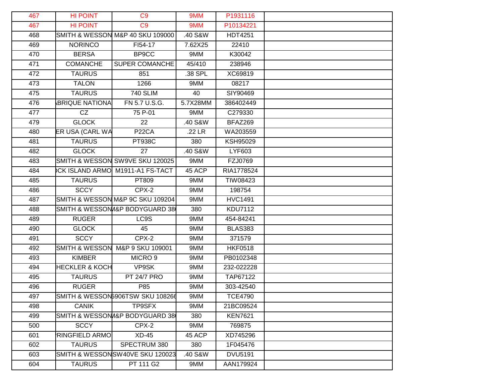| 467 | <b>HI POINT</b>           | C9                               | 9MM      | P1931116       |  |
|-----|---------------------------|----------------------------------|----------|----------------|--|
| 467 | <b>HI POINT</b>           | C <sub>9</sub>                   | 9MM      | P10134221      |  |
| 468 |                           | SMITH & WESSON M&P 40 SKU 109000 | .40 S&W  | <b>HDT4251</b> |  |
| 469 | <b>NORINCO</b>            | FI54-17                          | 7.62X25  | 22410          |  |
| 470 | <b>BERSA</b>              | BP9CC                            | 9MM      | K30042         |  |
| 471 | <b>COMANCHE</b>           | SUPER COMANCHE                   | 45/410   | 238946         |  |
| 472 | <b>TAURUS</b>             | 851                              | .38 SPL  | XC69819        |  |
| 473 | <b>TALON</b>              | 1266                             | 9MM      | 08217          |  |
| 475 | <b>TAURUS</b>             | <b>740 SLIM</b>                  | 40       | SIY90469       |  |
| 476 | <b>BRIQUE NATIONA</b>     | FN 5.7 U.S.G.                    | 5.7X28MM | 386402449      |  |
| 477 | CZ                        | 75 P-01                          | 9MM      | C279330        |  |
| 479 | <b>GLOCK</b>              | 22                               | .40 S&W  | BFAZ269        |  |
| 480 | ER USA (CARL WA           | P <sub>22</sub> CA               | .22 LR   | WA203559       |  |
| 481 | <b>TAURUS</b>             | <b>PT938C</b>                    | 380      | KSH95029       |  |
| 482 | <b>GLOCK</b>              | 27                               | .40 S&W  | LYF603         |  |
| 483 |                           | SMITH & WESSON SW9VE SKU 120025  | 9MM      | FZJ0769        |  |
| 484 |                           | CK ISLAND ARMO M1911-A1 FS-TACT  | 45 ACP   | RIA1778524     |  |
| 485 | <b>TAURUS</b>             | PT809                            | 9MM      | TIW08423       |  |
| 486 | <b>SCCY</b>               | CPX-2                            | 9MM      | 198754         |  |
| 487 |                           | SMITH & WESSON M&P 9C SKU 109204 | 9MM      | <b>HVC1491</b> |  |
| 488 |                           | SMITH & WESSON / & BODYGUARD 38  | 380      | <b>KDU7112</b> |  |
| 489 | <b>RUGER</b>              | LC9S                             | 9MM      | 454-84241      |  |
| 490 | <b>GLOCK</b>              | 45                               | 9MM      | <b>BLAS383</b> |  |
| 491 | <b>SCCY</b>               | $CPX-2$                          | 9MM      | 371579         |  |
| 492 | <b>SMITH &amp; WESSON</b> | M&P 9 SKU 109001                 | 9MM      | <b>HKF0518</b> |  |
| 493 | <b>KIMBER</b>             | MICRO <sub>9</sub>               | 9MM      | PB0102348      |  |
| 494 | <b>HECKLER &amp; KOCH</b> | VP9SK                            | 9MM      | 232-022228     |  |
| 495 | <b>TAURUS</b>             | <b>PT 24/7 PRO</b>               | 9MM      | TAP67122       |  |
| 496 | <b>RUGER</b>              | P <sub>85</sub>                  | 9MM      | 303-42540      |  |
| 497 |                           | SMITH & WESSON5906TSW SKU 108266 | 9MM      | <b>TCE4790</b> |  |
| 498 | <b>CANIK</b>              | TP9SFX                           | 9MM      | 21BC09524      |  |
| 499 |                           | SMITH & WESSON/I&P BODYGUARD 38  | 380      | <b>KEN7621</b> |  |
| 500 | <b>SCCY</b>               | CPX-2                            | 9MM      | 769875         |  |
| 601 | <b>RINGFIELD ARMO</b>     | $XD-45$                          | 45 ACP   | XD745296       |  |
| 602 | <b>TAURUS</b>             | SPECTRUM 380                     | 380      | 1F045476       |  |
| 603 |                           | SMITH & WESSONSW40VE SKU 120023  | .40 S&W  | <b>DVU5191</b> |  |
| 604 | <b>TAURUS</b>             | PT 111 G2                        | 9MM      | AAN179924      |  |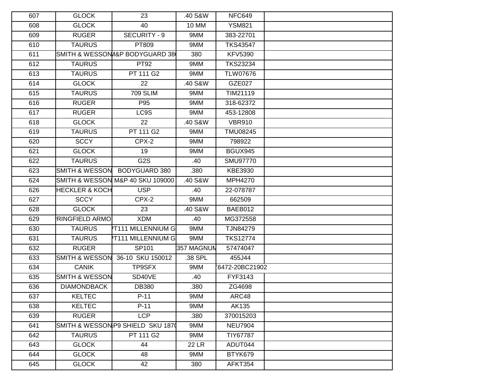| 607 | <b>GLOCK</b>              | 23                                | .40 S&W      | <b>NFC649</b>   |  |
|-----|---------------------------|-----------------------------------|--------------|-----------------|--|
| 608 | <b>GLOCK</b>              | 40                                | <b>10 MM</b> | <b>YSM821</b>   |  |
| 609 | <b>RUGER</b>              | SECURITY - 9                      | 9MM          | 383-22701       |  |
| 610 | <b>TAURUS</b>             | PT809                             | 9MM          | <b>TKS43547</b> |  |
| 611 |                           | SMITH & WESSON/I&P BODYGUARD 38   | 380          | <b>KFV5390</b>  |  |
| 612 | <b>TAURUS</b>             | PT92                              | 9MM          | <b>TKS23234</b> |  |
| 613 | <b>TAURUS</b>             | PT 111 G2                         | 9MM          | <b>TLW07676</b> |  |
| 614 | <b>GLOCK</b>              | 22                                | .40 S&W      | <b>GZE027</b>   |  |
| 615 | <b>TAURUS</b>             | <b>709 SLIM</b>                   | 9MM          | TIM21119        |  |
| 616 | <b>RUGER</b>              | P95                               | 9MM          | 318-62372       |  |
| 617 | <b>RUGER</b>              | LC9S                              | 9MM          | 453-12808       |  |
| 618 | <b>GLOCK</b>              | 22                                | .40 S&W      | <b>VBR910</b>   |  |
| 619 | <b>TAURUS</b>             | PT 111 G2                         | 9MM          | <b>TMU08245</b> |  |
| 620 | <b>SCCY</b>               | CPX-2                             | 9MM          | 798922          |  |
| 621 | <b>GLOCK</b>              | 19                                | 9MM          | BGUX945         |  |
| 622 | <b>TAURUS</b>             | G <sub>2</sub> S                  | .40          | <b>SMU97770</b> |  |
| 623 | <b>SMITH &amp; WESSON</b> | BODYGUARD 380                     | .380         | KBE3930         |  |
| 624 |                           | SMITH & WESSON M&P 40 SKU 109000  | .40 S&W      | MPH4270         |  |
| 626 | <b>HECKLER &amp; KOCH</b> | <b>USP</b>                        | .40          | 22-078787       |  |
| 627 | <b>SCCY</b>               | CPX-2                             | 9MM          | 662509          |  |
| 628 | <b>GLOCK</b>              | 23                                | .40 S&W      | BAEB012         |  |
| 629 | <b>RINGFIELD ARMO</b>     | <b>XDM</b>                        | .40          | MG372558        |  |
| 630 | <b>TAURUS</b>             | <b>PT111 MILLENNIUM G</b>         | 9MM          | TJN84279        |  |
| 631 | <b>TAURUS</b>             | <b>PT111 MILLENNIUM G</b>         | 9MM          | <b>TKS12774</b> |  |
| 632 | <b>RUGER</b>              | SP101                             | 357 MAGNUN   | 57474047        |  |
| 633 | <b>SMITH &amp; WESSON</b> | 36-10 SKU 150012                  | .38 SPL      | 455J44          |  |
| 634 | <b>CANIK</b>              | TP9SFX                            | 9MM          | 6472-20BC21902  |  |
| 635 | <b>SMITH &amp; WESSON</b> | SD40VE                            | .40          | FYF3143         |  |
| 636 | <b>DIAMONDBACK</b>        | <b>DB380</b>                      | .380         | ZG4698          |  |
| 637 | KELTEC                    | $P-11$                            | 9MM          | ARC48           |  |
| 638 | <b>KELTEC</b>             | $P-11$                            | 9MM          | AK135           |  |
| 639 | <b>RUGER</b>              | <b>LCP</b>                        | .380         | 370015203       |  |
| 641 |                           | SMITH & WESSON P9 SHIELD SKU 1870 | 9MM          | <b>NEU7904</b>  |  |
| 642 | <b>TAURUS</b>             | PT 111 G2                         | 9MM          | TIY67787        |  |
| 643 | <b>GLOCK</b>              | 44                                | <b>22 LR</b> | ADUT044         |  |
| 644 | <b>GLOCK</b>              | 48                                | 9MM          | BTYK679         |  |
| 645 | <b>GLOCK</b>              | 42                                | 380          | AFKT354         |  |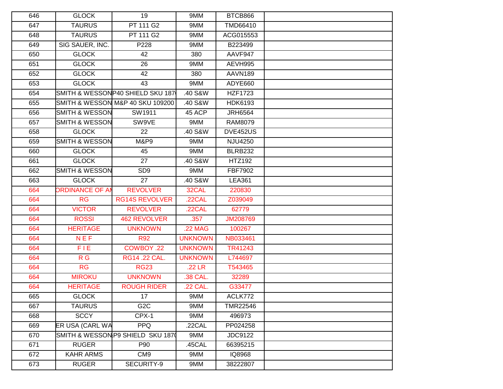| 646 | <b>GLOCK</b>              | 19                                | 9MM            | BTCB866        |  |
|-----|---------------------------|-----------------------------------|----------------|----------------|--|
| 647 | <b>TAURUS</b>             | PT 111 G2                         | 9MM            | TMD66410       |  |
| 648 | <b>TAURUS</b>             | <b>PT 111 G2</b>                  | 9MM            | ACG015553      |  |
| 649 | SIG SAUER, INC.           | P228                              | 9MM            | B223499        |  |
| 650 | <b>GLOCK</b>              | 42                                | 380            | AAVF947        |  |
| 651 | <b>GLOCK</b>              | 26                                | 9MM            | AEVH995        |  |
| 652 | <b>GLOCK</b>              | 42                                | 380            | AAVN189        |  |
| 653 | <b>GLOCK</b>              | 43                                | 9MM            | ADYE660        |  |
| 654 |                           | SMITH & WESSONP40 SHIELD SKU 187  | .40 S&W        | <b>HZF1723</b> |  |
| 655 |                           | SMITH & WESSON M&P 40 SKU 109200  | .40 S&W        | <b>HDK6193</b> |  |
| 656 | <b>SMITH &amp; WESSON</b> | SW1911                            | 45 ACP         | <b>JRH6564</b> |  |
| 657 | <b>SMITH &amp; WESSON</b> | SW9VE                             | 9MM            | RAM8079        |  |
| 658 | <b>GLOCK</b>              | 22                                | .40 S&W        | DVE452US       |  |
| 659 | <b>SMITH &amp; WESSON</b> | <b>M&amp;P9</b>                   | 9MM            | <b>NJU4250</b> |  |
| 660 | <b>GLOCK</b>              | 45                                | 9MM            | <b>BLRB232</b> |  |
| 661 | <b>GLOCK</b>              | 27                                | .40 S&W        | <b>HTZ192</b>  |  |
| 662 | <b>SMITH &amp; WESSON</b> | SD <sub>9</sub>                   | 9MM            | FBF7902        |  |
| 663 | <b>GLOCK</b>              | 27                                | .40 S&W        | <b>LEA361</b>  |  |
| 664 | <b>ORDINANCE OF AM</b>    | <b>REVOLVER</b>                   | 32CAL          | 220830         |  |
| 664 | <b>RG</b>                 | <b>RG14S REVOLVER</b>             | .22CAL         | Z039049        |  |
| 664 | <b>VICTOR</b>             | <b>REVOLVER</b>                   | .22CAL         | 62779          |  |
| 664 | <b>ROSSI</b>              | <b>462 REVOLVER</b>               | .357           | JM208769       |  |
| 664 | <b>HERITAGE</b>           | <b>UNKNOWN</b>                    | .22 MAG        | 100267         |  |
| 664 | <b>NEF</b>                | <b>R92</b>                        | <b>UNKNOWN</b> | NB033461       |  |
| 664 | F <sub>IE</sub>           | COWBOY .22                        | <b>UNKNOWN</b> | TR41243        |  |
| 664 | R <sub>G</sub>            | RG14 .22 CAL.                     | <b>UNKNOWN</b> | L744697        |  |
| 664 | <b>RG</b>                 | <b>RG23</b>                       | .22 LR         | T543465        |  |
| 664 | <b>MIROKU</b>             | <b>UNKNOWN</b>                    | .38 CAL.       | 32289          |  |
| 664 | <b>HERITAGE</b>           | <b>ROUGH RIDER</b>                | .22 CAL.       | G33477         |  |
| 665 | <b>GLOCK</b>              | 17 <sup>17</sup>                  | 9MM            | ACLK772        |  |
| 667 | <b>TAURUS</b>             | G <sub>2</sub> C                  | 9MM            | TMR22546       |  |
| 668 | <b>SCCY</b>               | CPX-1                             | 9MM            | 496973         |  |
| 669 | ER USA (CARL WA           | <b>PPQ</b>                        | .22CAL         | PP024258       |  |
| 670 |                           | SMITH & WESSON P9 SHIELD SKU 1870 | 9MM            | JDC9122        |  |
| 671 | <b>RUGER</b>              | P90                               | .45CAL         | 66395215       |  |
| 672 | <b>KAHR ARMS</b>          | CM <sub>9</sub>                   | 9MM            | IQ8968         |  |
| 673 | <b>RUGER</b>              | SECURITY-9                        | 9MM            | 38222807       |  |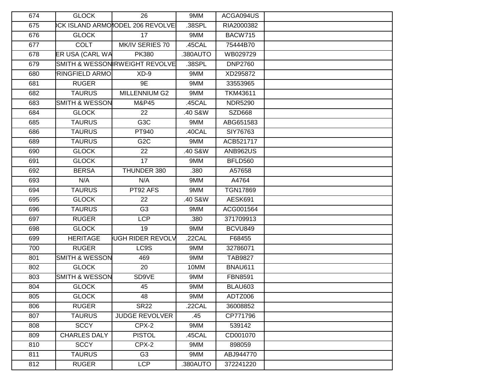| 674 | <b>GLOCK</b>              | 26                              | 9MM      | ACGA094US       |  |
|-----|---------------------------|---------------------------------|----------|-----------------|--|
| 675 |                           | CK ISLAND ARMONODEL 206 REVOLVE | .38SPL   | RIA2000382      |  |
| 676 | <b>GLOCK</b>              | 17                              | 9MM      | <b>BACW715</b>  |  |
| 677 | <b>COLT</b>               | MK/IV SERIES 70                 | .45CAL   | 75444B70        |  |
| 678 | ER USA (CARL WA           | <b>PK380</b>                    | .380AUTO | WB029729        |  |
| 679 |                           | SMITH & WESSON RWEIGHT REVOLVE  | .38SPL   | <b>DNP2760</b>  |  |
| 680 | <b>RINGFIELD ARMO</b>     | $XD-9$                          | 9MM      | XD295872        |  |
| 681 | <b>RUGER</b>              | 9E                              | 9MM      | 33553965        |  |
| 682 | <b>TAURUS</b>             | MILLENNIUM G2                   | 9MM      | TKM43611        |  |
| 683 | <b>SMITH &amp; WESSON</b> | M&P45                           | .45CAL   | <b>NDR5290</b>  |  |
| 684 | <b>GLOCK</b>              | 22                              | .40 S&W  | <b>SZD668</b>   |  |
| 685 | <b>TAURUS</b>             | G3C                             | 9MM      | ABG651583       |  |
| 686 | <b>TAURUS</b>             | PT940                           | .40CAL   | SIY76763        |  |
| 689 | <b>TAURUS</b>             | G <sub>2</sub> C                | 9MM      | ACB521717       |  |
| 690 | <b>GLOCK</b>              | 22                              | .40 S&W  | <b>ANB962US</b> |  |
| 691 | <b>GLOCK</b>              | 17                              | 9MM      | <b>BFLD560</b>  |  |
| 692 | <b>BERSA</b>              | THUNDER 380                     | .380     | A57658          |  |
| 693 | N/A                       | N/A                             | 9MM      | A4764           |  |
| 694 | <b>TAURUS</b>             | PT92 AFS                        | 9MM      | TGN17869        |  |
| 695 | <b>GLOCK</b>              | 22                              | .40 S&W  | AESK691         |  |
| 696 | <b>TAURUS</b>             | G <sub>3</sub>                  | 9MM      | ACG001564       |  |
| 697 | <b>RUGER</b>              | <b>LCP</b>                      | .380     | 371709913       |  |
| 698 | <b>GLOCK</b>              | 19                              | 9MM      | BCVU849         |  |
| 699 | <b>HERITAGE</b>           | UGH RIDER REVOLV                | .22CAL   | F68455          |  |
| 700 | <b>RUGER</b>              | LC9S                            | 9MM      | 32786071        |  |
| 801 | <b>SMITH &amp; WESSON</b> | 469                             | 9MM      | <b>TAB9827</b>  |  |
| 802 | <b>GLOCK</b>              | 20                              | 10MM     | <b>BNAU611</b>  |  |
| 803 | <b>SMITH &amp; WESSON</b> | SD9VE                           | 9MM      | FBN8591         |  |
| 804 | <b>GLOCK</b>              | 45                              | 9MM      | BLAU603         |  |
| 805 | <b>GLOCK</b>              | 48                              | 9MM      | ADTZ006         |  |
| 806 | <b>RUGER</b>              | <b>SR22</b>                     | .22CAL   | 36008852        |  |
| 807 | <b>TAURUS</b>             | JUDGE REVOLVER                  | .45      | CP771796        |  |
| 808 | <b>SCCY</b>               | CPX-2                           | 9MM      | 539142          |  |
| 809 | <b>CHARLES DALY</b>       | <b>PISTOL</b>                   | .45CAL   | CD001070        |  |
| 810 | <b>SCCY</b>               | CPX-2                           | 9MM      | 898059          |  |
| 811 | <b>TAURUS</b>             | G <sub>3</sub>                  | 9MM      | ABJ944770       |  |
| 812 | <b>RUGER</b>              | LCP                             | .380AUTO | 372241220       |  |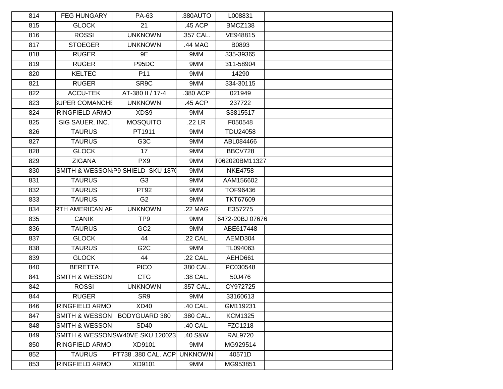| 814 | <b>FEG HUNGARY</b>        | PA-63                             | .380AUTO       | L008831         |  |
|-----|---------------------------|-----------------------------------|----------------|-----------------|--|
| 815 | <b>GLOCK</b>              | 21                                | .45 ACP        | BMCZ138         |  |
| 816 | <b>ROSSI</b>              | <b>UNKNOWN</b>                    | .357 CAL.      | VE948815        |  |
| 817 | <b>STOEGER</b>            | <b>UNKNOWN</b>                    | .44 MAG        | B0893           |  |
| 818 | <b>RUGER</b>              | 9E                                | 9MM            | 335-39365       |  |
| 819 | <b>RUGER</b>              | P95DC                             | 9MM            | 311-58904       |  |
| 820 | <b>KELTEC</b>             | P11                               | 9MM            | 14290           |  |
| 821 | <b>RUGER</b>              | SR9C                              | 9MM            | 334-30115       |  |
| 822 | <b>ACCU-TEK</b>           | AT-380 II / 17-4                  | .380 ACP       | 021949          |  |
| 823 | <b>SUPER COMANCHI</b>     | <b>UNKNOWN</b>                    | .45 ACP        | 237722          |  |
| 824 | <b>RINGFIELD ARMO</b>     | XDS9                              | 9MM            | S3815517        |  |
| 825 | SIG SAUER, INC.           | <b>MOSQUITO</b>                   | .22 LR         | F050548         |  |
| 826 | <b>TAURUS</b>             | PT1911                            | 9MM            | TDU24058        |  |
| 827 | <b>TAURUS</b>             | G <sub>3</sub> C                  | 9MM            | ABL084466       |  |
| 828 | <b>GLOCK</b>              | 17                                | 9MM            | BBCV728         |  |
| 829 | <b>ZIGANA</b>             | PX9                               | 9MM            | 062020BM11327   |  |
| 830 |                           | SMITH & WESSON P9 SHIELD SKU 1870 | 9MM            | <b>NKE4758</b>  |  |
| 831 | <b>TAURUS</b>             | G <sub>3</sub>                    | 9MM            | AAM156602       |  |
| 832 | <b>TAURUS</b>             | PT92                              | 9MM            | TOF96436        |  |
| 833 | <b>TAURUS</b>             | G <sub>2</sub>                    | 9MM            | <b>TKT67609</b> |  |
| 834 | RTH AMERICAN AR           | <b>UNKNOWN</b>                    | .22 MAG        | E357275         |  |
| 835 | <b>CANIK</b>              | TP <sub>9</sub>                   | 9MM            | 6472-20BJ 07676 |  |
| 836 | <b>TAURUS</b>             | GC <sub>2</sub>                   | 9MM            | ABE617448       |  |
| 837 | <b>GLOCK</b>              | 44                                | .22 CAL.       | AEMD304         |  |
| 838 | <b>TAURUS</b>             | G <sub>2</sub> C                  | 9MM            | TL094063        |  |
| 839 | <b>GLOCK</b>              | 44                                | .22 CAL.       | AEHD661         |  |
| 840 | <b>BERETTA</b>            | <b>PICO</b>                       | .380 CAL.      | PC030548        |  |
| 841 | <b>SMITH &amp; WESSON</b> | <b>CTG</b>                        | .38 CAL.       | 50J476          |  |
| 842 | <b>ROSSI</b>              | <b>UNKNOWN</b>                    | .357 CAL.      | CY972725        |  |
| 844 | <b>RUGER</b>              | SR9                               | 9MM            | 33160613        |  |
| 846 | <b>RINGFIELD ARMO</b>     | XD40                              | .40 CAL.       | GM119231        |  |
| 847 | SMITH & WESSON            | BODYGUARD 380                     | .380 CAL.      | <b>KCM1325</b>  |  |
| 848 | <b>SMITH &amp; WESSON</b> | <b>SD40</b>                       | .40 CAL.       | FZC1218         |  |
| 849 |                           | SMITH & WESSONSW40VE SKU 120023   | .40 S&W        | <b>RAL9720</b>  |  |
| 850 | <b>RINGFIELD ARMO</b>     | XD9101                            | 9MM            | MG929514        |  |
| 852 | <b>TAURUS</b>             | PT738 .380 CAL. ACP               | <b>UNKNOWN</b> | 40571D          |  |
| 853 | <b>RINGFIELD ARMO</b>     | XD9101                            | 9MM            | MG953851        |  |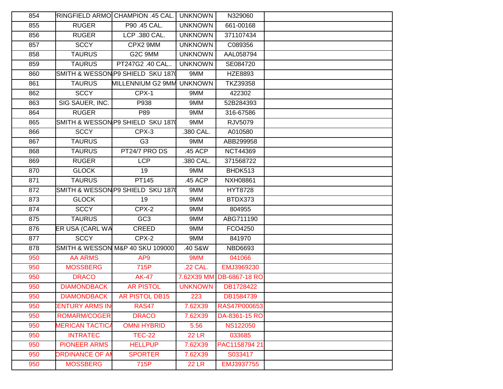| 854 |                        | RINGFIELD ARMO CHAMPION .45 CAL.  | <b>UNKNOWN</b> | N329060              |  |
|-----|------------------------|-----------------------------------|----------------|----------------------|--|
| 855 | <b>RUGER</b>           | P90 .45 CAL.                      | <b>UNKNOWN</b> | 661-00168            |  |
| 856 | <b>RUGER</b>           | LCP .380 CAL.                     | <b>UNKNOWN</b> | 371107434            |  |
| 857 | <b>SCCY</b>            | CPX2 9MM                          | <b>UNKNOWN</b> | C089356              |  |
| 858 | <b>TAURUS</b>          | G2C 9MM                           | <b>UNKNOWN</b> | AAL058794            |  |
| 859 | <b>TAURUS</b>          | PT247G2 .40 CAL                   | <b>UNKNOWN</b> | SE084720             |  |
| 860 |                        | SMITH & WESSON P9 SHIELD SKU 1870 | 9MM            | HZE8893              |  |
| 861 | <b>TAURUS</b>          | MILLENNIUM G2 9MM                 | <b>UNKNOWN</b> | TKZ39358             |  |
| 862 | <b>SCCY</b>            | CPX-1                             | 9MM            | 422302               |  |
| 863 | SIG SAUER, INC.        | P938                              | 9MM            | 52B284393            |  |
| 864 | <b>RUGER</b>           | P89                               | 9MM            | 316-67586            |  |
| 865 |                        | SMITH & WESSON P9 SHIELD SKU 1870 | 9MM            | RJV5079              |  |
| 866 | <b>SCCY</b>            | CPX-3                             | .380 CAL.      | A010580              |  |
| 867 | <b>TAURUS</b>          | G <sub>3</sub>                    | 9MM            | ABB299958            |  |
| 868 | <b>TAURUS</b>          | PT24/7 PRO DS                     | .45 ACP        | <b>NCT44369</b>      |  |
| 869 | <b>RUGER</b>           | <b>LCP</b>                        | .380 CAL.      | 371568722            |  |
| 870 | <b>GLOCK</b>           | 19                                | 9MM            | BHDK513              |  |
| 871 | <b>TAURUS</b>          | PT145                             | .45 ACP        | <b>NXH08861</b>      |  |
| 872 |                        | SMITH & WESSON P9 SHIELD SKU 1870 | 9MM            | <b>HYT8728</b>       |  |
| 873 | <b>GLOCK</b>           | 19                                | 9MM            | BTDX373              |  |
| 874 | <b>SCCY</b>            | CPX-2                             | 9MM            | 804955               |  |
| 875 | <b>TAURUS</b>          | GC <sub>3</sub>                   | 9MM            | ABG711190            |  |
| 876 | ER USA (CARL WA        | CREED                             | 9MM            | FCO4250              |  |
| 877 | <b>SCCY</b>            | CPX-2                             | 9MM            | 841970               |  |
| 878 |                        | SMITH & WESSON M&P 40 SKU 109000  | .40 S&W        | <b>NBD6693</b>       |  |
| 950 | <b>AA ARMS</b>         | AP9                               | 9MM            | 041066               |  |
| 950 | <b>MOSSBERG</b>        | 715P                              | .22 CAL.       | EMJ3969230           |  |
| 950 | <b>DRACO</b>           | <b>AK-47</b>                      | 7.62X39 MM     | <b>DB-6867-18 RO</b> |  |
| 950 | <b>DIAMONDBACK</b>     | <b>AR PISTOL</b>                  | <b>UNKNOWN</b> | DB1728422            |  |
| 950 |                        | DIAMONDBACK   AR PISTOL DB15      | 223            | DB1584739            |  |
| 950 | <b>ENTURY ARMS IN</b>  | RAS47                             | 7.62X39        | RAS47P000653         |  |
| 950 | <b>ROMARM/COGER</b>    | <b>DRACO</b>                      | 7.62X39        | DA-8361-15 RO        |  |
| 950 | <b>MERICAN TACTICA</b> | <b>OMNI HYBRID</b>                | 5.56           | <b>NS122050</b>      |  |
| 950 | <b>INTRATEC</b>        | <b>TEC-22</b>                     | <b>22 LR</b>   | 033685               |  |
| 950 | <b>PIONEER ARMS</b>    | <b>HELLPUP</b>                    | 7.62X39        | PAC1158794 21        |  |
| 950 | <b>ORDINANCE OF AM</b> | <b>SPORTER</b>                    | 7.62X39        | S033417              |  |
| 950 | <b>MOSSBERG</b>        | 715P                              | <b>22 LR</b>   | EMJ3937755           |  |